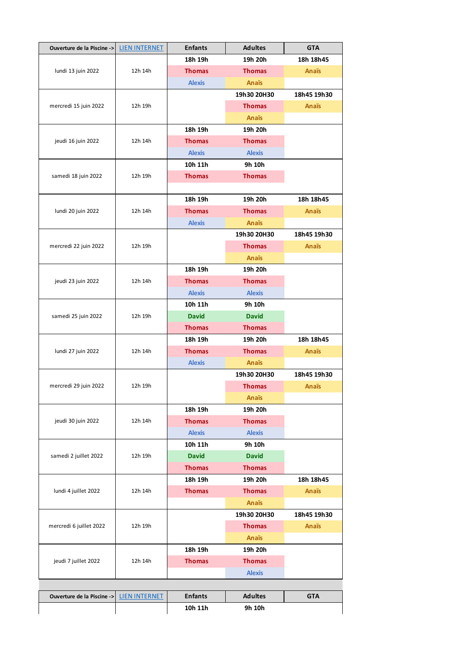| Ouverture de la Piscine ->                  | <b>LIEN INTERNET</b> | <b>Enfants</b> | <b>Adultes</b> | <b>GTA</b>   |
|---------------------------------------------|----------------------|----------------|----------------|--------------|
| lundi 13 juin 2022                          | 12h 14h              | 18h 19h        | 19h 20h        | 18h 18h45    |
|                                             |                      | <b>Thomas</b>  | <b>Thomas</b>  | <b>Anaïs</b> |
|                                             |                      | <b>Alexis</b>  | <b>Anaïs</b>   |              |
|                                             |                      |                | 19h30 20H30    | 18h45 19h30  |
| mercredi 15 juin 2022                       | 12h 19h              |                | <b>Thomas</b>  | Anaïs        |
|                                             |                      |                | <b>Anaïs</b>   |              |
|                                             | 12h 14h              | 18h 19h        | 19h 20h        |              |
| jeudi 16 juin 2022                          |                      | <b>Thomas</b>  | <b>Thomas</b>  |              |
|                                             |                      | <b>Alexis</b>  | <b>Alexis</b>  |              |
|                                             | 12h 19h              | 10h 11h        | 9h 10h         |              |
| samedi 18 juin 2022                         |                      | <b>Thomas</b>  | <b>Thomas</b>  |              |
|                                             |                      |                |                |              |
|                                             | 12h 14h              | 18h 19h        | 19h 20h        | 18h 18h45    |
| lundi 20 juin 2022                          |                      | <b>Thomas</b>  | <b>Thomas</b>  | Anaïs        |
|                                             |                      | <b>Alexis</b>  | <b>Anaïs</b>   |              |
|                                             |                      |                | 19h30 20H30    | 18h45 19h30  |
| mercredi 22 juin 2022                       | 12h 19h              |                | <b>Thomas</b>  | Anaïs        |
|                                             |                      |                | <b>Anaïs</b>   |              |
|                                             |                      | 18h 19h        | 19h 20h        |              |
| jeudi 23 juin 2022                          | 12h 14h              | <b>Thomas</b>  | <b>Thomas</b>  |              |
|                                             |                      | <b>Alexis</b>  | <b>Alexis</b>  |              |
|                                             | 12h 19h              | 10h 11h        | 9h 10h         |              |
| samedi 25 juin 2022                         |                      | <b>David</b>   | <b>David</b>   |              |
|                                             |                      | <b>Thomas</b>  | <b>Thomas</b>  |              |
|                                             | 12h 14h              | 18h 19h        | 19h 20h        | 18h 18h45    |
| lundi 27 juin 2022                          |                      | <b>Thomas</b>  | <b>Thomas</b>  | Anaïs        |
|                                             |                      | <b>Alexis</b>  | <b>Anaïs</b>   |              |
|                                             | 12h 19h              |                | 19h30 20H30    | 18h45 19h30  |
| mercredi 29 juin 2022                       |                      |                | <b>Thomas</b>  | Anaïs        |
|                                             |                      |                | <b>Anaïs</b>   |              |
|                                             | 12h 14h              | 18h 19h        | 19h 20h        |              |
| jeudi 30 juin 2022<br>samedi 2 juillet 2022 |                      | <b>Thomas</b>  | <b>Thomas</b>  |              |
|                                             |                      | <b>Alexis</b>  | <b>Alexis</b>  |              |
|                                             |                      | 10h 11h        | 9h 10h         |              |
|                                             | 12h 19h              | <b>David</b>   | <b>David</b>   |              |
|                                             |                      | <b>Thomas</b>  | <b>Thomas</b>  |              |
| lundi 4 juillet 2022                        | 12h 14h              | 18h 19h        | 19h 20h        | 18h 18h45    |
|                                             |                      | <b>Thomas</b>  | <b>Thomas</b>  | <b>Anaïs</b> |
|                                             |                      |                | <b>Anaïs</b>   |              |
|                                             | 12h 19h              |                | 19h30 20H30    | 18h45 19h30  |
| mercredi 6 juillet 2022                     |                      |                | <b>Thomas</b>  | <b>Anaïs</b> |
|                                             |                      |                | <b>Anaïs</b>   |              |
| jeudi 7 juillet 2022                        | 12h 14h              | 18h 19h        | 19h 20h        |              |
|                                             |                      | <b>Thomas</b>  | <b>Thomas</b>  |              |
|                                             |                      |                | <b>Alexis</b>  |              |
|                                             |                      |                |                |              |
| Ouverture de la Piscine ->                  | <b>LIEN INTERNET</b> | <b>Enfants</b> | <b>Adultes</b> | <b>GTA</b>   |
|                                             |                      | 10h 11h        | 9h 10h         |              |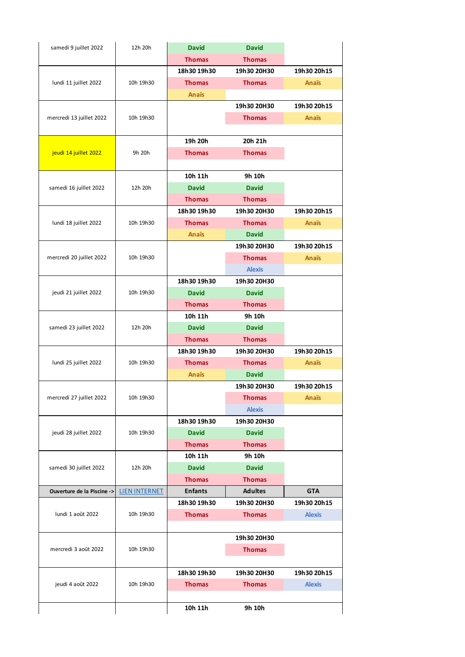| samedi 9 juillet 2022      | 12h 20h              | <b>David</b>   | <b>David</b>   |               |
|----------------------------|----------------------|----------------|----------------|---------------|
|                            |                      | <b>Thomas</b>  | <b>Thomas</b>  |               |
|                            |                      | 18h30 19h30    | 19h30 20H30    | 19h30 20h15   |
| lundi 11 juillet 2022      | 10h 19h30            | <b>Thomas</b>  | <b>Thomas</b>  | Anaïs         |
|                            |                      | Anaïs          |                |               |
|                            |                      |                | 19h30 20H30    | 19h30 20h15   |
| mercredi 13 juillet 2022   | 10h 19h30            |                | <b>Thomas</b>  | <b>Anaïs</b>  |
|                            |                      |                |                |               |
|                            |                      | 19h 20h        | 20h 21h        |               |
| jeudi 14 juillet 2022      | 9h 20h               | <b>Thomas</b>  | <b>Thomas</b>  |               |
|                            |                      |                |                |               |
|                            |                      | 10h 11h        | 9h 10h         |               |
| samedi 16 juillet 2022     | 12h 20h              | <b>David</b>   | <b>David</b>   |               |
|                            |                      | <b>Thomas</b>  | <b>Thomas</b>  |               |
|                            |                      | 18h30 19h30    | 19h30 20H30    | 19h30 20h15   |
| lundi 18 juillet 2022      | 10h 19h30            | <b>Thomas</b>  | <b>Thomas</b>  | Anaïs         |
|                            |                      | Anaïs          | <b>David</b>   |               |
|                            |                      |                | 19h30 20H30    | 19h30 20h15   |
| mercredi 20 juillet 2022   | 10h 19h30            |                | <b>Thomas</b>  | <b>Anaïs</b>  |
|                            |                      |                | <b>Alexis</b>  |               |
|                            |                      | 18h30 19h30    | 19h30 20H30    |               |
| jeudi 21 juillet 2022      | 10h 19h30            | <b>David</b>   | <b>David</b>   |               |
|                            |                      | <b>Thomas</b>  | <b>Thomas</b>  |               |
|                            |                      | 10h 11h        | 9h 10h         |               |
| samedi 23 juillet 2022     | 12h 20h              | <b>David</b>   | <b>David</b>   |               |
|                            |                      | <b>Thomas</b>  | <b>Thomas</b>  |               |
|                            |                      | 18h30 19h30    | 19h30 20H30    | 19h30 20h15   |
| lundi 25 juillet 2022      | 10h 19h30            | <b>Thomas</b>  | <b>Thomas</b>  | Anaïs         |
|                            |                      | Anaïs          | <b>David</b>   |               |
|                            |                      |                | 19h30 20H30    | 19h30 20h15   |
| mercredi 27 juillet 2022   | 10h 19h30            |                | <b>Thomas</b>  | Anaïs         |
|                            |                      |                | <b>Alexis</b>  |               |
|                            |                      | 18h30 19h30    | 19h30 20H30    |               |
| jeudi 28 juillet 2022      | 10h 19h30            | <b>David</b>   | <b>David</b>   |               |
|                            |                      | <b>Thomas</b>  | <b>Thomas</b>  |               |
|                            |                      | 10h 11h        | 9h 10h         |               |
| samedi 30 juillet 2022     | 12h 20h              | <b>David</b>   | <b>David</b>   |               |
|                            |                      | <b>Thomas</b>  | <b>Thomas</b>  |               |
| Ouverture de la Piscine -> | <b>LIEN INTERNET</b> | <b>Enfants</b> | <b>Adultes</b> | <b>GTA</b>    |
|                            |                      | 18h30 19h30    | 19h30 20H30    | 19h30 20h15   |
| lundi 1 août 2022          | 10h 19h30            | <b>Thomas</b>  | <b>Thomas</b>  | <b>Alexis</b> |
|                            |                      |                |                |               |
|                            |                      |                | 19h30 20H30    |               |
| mercredi 3 août 2022       | 10h 19h30            |                | <b>Thomas</b>  |               |
|                            |                      |                |                |               |
|                            |                      | 18h30 19h30    | 19h30 20H30    | 19h30 20h15   |
| jeudi 4 août 2022          | 10h 19h30            | <b>Thomas</b>  | <b>Thomas</b>  | <b>Alexis</b> |
|                            |                      |                |                |               |
|                            |                      | 10h 11h        | 9h 10h         |               |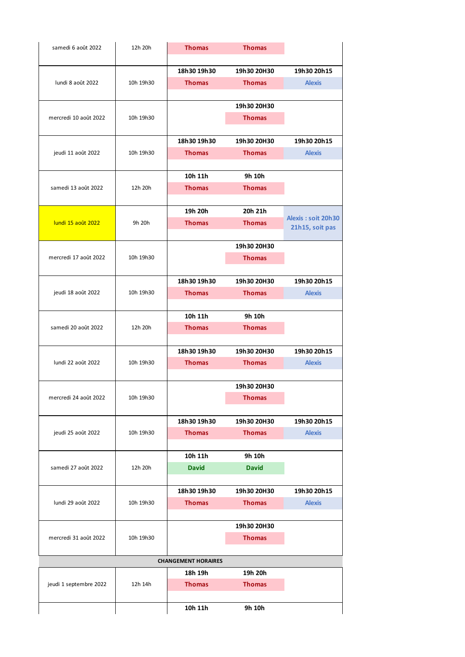| samedi 6 août 2022        | 12h 20h   | <b>Thomas</b>              | <b>Thomas</b> |                    |
|---------------------------|-----------|----------------------------|---------------|--------------------|
|                           |           |                            |               |                    |
|                           |           | 18h30 19h30                | 19h30 20H30   | 19h30 20h15        |
| lundi 8 août 2022         | 10h 19h30 | <b>Thomas</b>              | <b>Thomas</b> | <b>Alexis</b>      |
|                           |           |                            |               |                    |
|                           |           |                            | 19h30 20H30   |                    |
| mercredi 10 août 2022     | 10h 19h30 |                            | <b>Thomas</b> |                    |
|                           |           |                            |               |                    |
|                           |           | 18h30 19h30                | 19h30 20H30   | 19h30 20h15        |
| jeudi 11 août 2022        | 10h 19h30 | <b>Thomas</b>              | <b>Thomas</b> | <b>Alexis</b>      |
|                           |           |                            |               |                    |
|                           |           | 10h 11h                    | 9h 10h        |                    |
| samedi 13 août 2022       | 12h 20h   | <b>Thomas</b>              | <b>Thomas</b> |                    |
|                           |           |                            |               |                    |
|                           |           | 19h 20h                    | 20h 21h       |                    |
| <b>lundi 15 août 2022</b> | 9h 20h    | <b>Thomas</b>              | <b>Thomas</b> | Alexis: soit 20h30 |
|                           |           |                            |               | 21h15, soit pas    |
|                           |           |                            | 19h30 20H30   |                    |
| mercredi 17 août 2022     | 10h 19h30 |                            | <b>Thomas</b> |                    |
|                           |           |                            |               |                    |
|                           |           | 18h30 19h30                | 19h30 20H30   | 19h30 20h15        |
| jeudi 18 août 2022        | 10h 19h30 | <b>Thomas</b>              | <b>Thomas</b> | <b>Alexis</b>      |
|                           |           |                            |               |                    |
|                           |           | 10h 11h                    | 9h 10h        |                    |
|                           |           |                            |               |                    |
| samedi 20 août 2022       | 12h 20h   | <b>Thomas</b>              | <b>Thomas</b> |                    |
|                           |           |                            |               |                    |
|                           |           | 18h30 19h30                | 19h30 20H30   | 19h30 20h15        |
| lundi 22 août 2022        | 10h 19h30 | <b>Thomas</b>              | <b>Thomas</b> | <b>Alexis</b>      |
|                           |           |                            |               |                    |
|                           |           |                            | 19h30 20H30   |                    |
| mercredi 24 août 2022     | 10h 19h30 |                            | <b>Thomas</b> |                    |
|                           |           |                            |               |                    |
|                           |           | 18h30 19h30                | 19h30 20H30   | 19h30 20h15        |
| jeudi 25 août 2022        | 10h 19h30 | <b>Thomas</b>              | <b>Thomas</b> | <b>Alexis</b>      |
|                           |           |                            |               |                    |
|                           |           | 10h 11h                    | 9h 10h        |                    |
| samedi 27 août 2022       | 12h 20h   | <b>David</b>               | <b>David</b>  |                    |
|                           |           |                            |               |                    |
|                           |           | 18h30 19h30                | 19h30 20H30   | 19h30 20h15        |
| lundi 29 août 2022        | 10h 19h30 | <b>Thomas</b>              | <b>Thomas</b> | <b>Alexis</b>      |
|                           |           |                            |               |                    |
|                           |           |                            | 19h30 20H30   |                    |
| mercredi 31 août 2022     | 10h 19h30 |                            | <b>Thomas</b> |                    |
|                           |           |                            |               |                    |
|                           |           | <b>CHANGEMENT HORAIRES</b> |               |                    |
|                           |           | 18h 19h                    | 19h 20h       |                    |
| jeudi 1 septembre 2022    | 12h 14h   | <b>Thomas</b>              | <b>Thomas</b> |                    |
|                           |           |                            |               |                    |
|                           |           | 10h 11h                    | 9h 10h        |                    |
|                           |           |                            |               |                    |